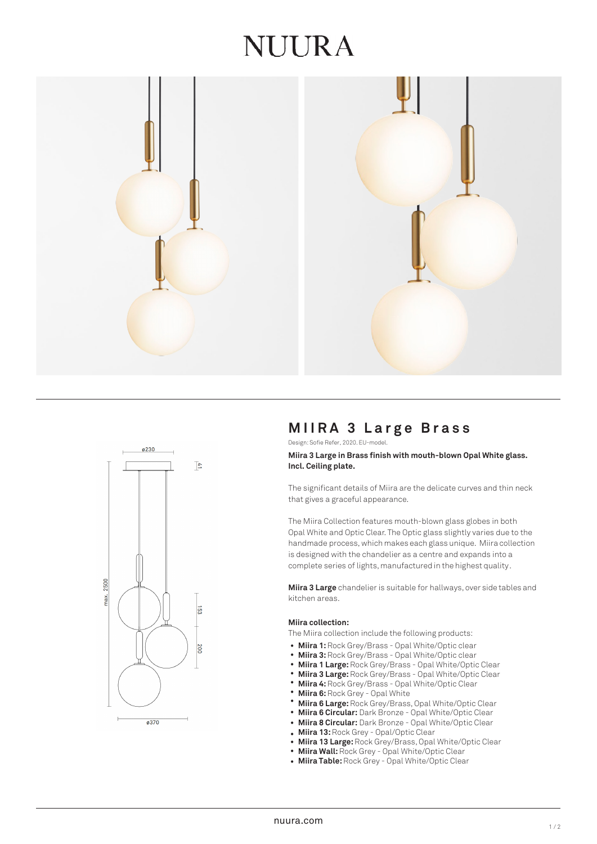# NUIRA





# **MIIRA 3 Large Brass**

Design: Sofie Refer, 2020. EU-model.

## **Miira 3 Large in Brass finish with mouth-blown Opal White glass. Incl. Ceiling plate.**

The significant details of Miira are the delicate curves and thin neck that gives a graceful appearance.

The Miira Collection features mouth-blown glass globes in both Opal White and Optic Clear. The Optic glass slightly varies due to the handmade process, which makes each glass unique. Miira collection is designed with the chandelier as a centre and expands into a complete series of lights, manufactured in the highest quality.

**Miira 3 Large** chandelier is suitable for hallways, over side tables and kitchen areas.

## **Miira collection:**

The Miira collection include the following products:

- Miira 1: Rock Grey/Brass Opal White/Optic clear
- **Miira 3:** Rock Grey/Brass Opal White/Optic clear •
- **Miira 1 Large:** Rock Grey/Brass Opal White/Optic Clear •
- **Miira 3 Large:** Rock Grey/Brass Opal White/Optic Clear •
- **Miira 4:** Rock Grey/Brass Opal White/Optic Clear •
- **Miira 6:** Rock Grey Opal White •
- **Miira 6 Large:** Rock Grey/Brass, Opal White/Optic Clear •
- **Miira 6 Circular:** Dark Bronze Opal White/Optic Clear •
- **Miira 8 Circular:** Dark Bronze Opal White/Optic Clear •
- **Miira 13:** Rock Grey Opal/Optic Clear
- **Miira 13 Large:** Rock Grey/Brass, Opal White/Optic Clear •
- **Miira Wall:** Rock Grey Opal White/Optic Clear •
- **Miira Table:** Rock Grey Opal White/Optic Clear •